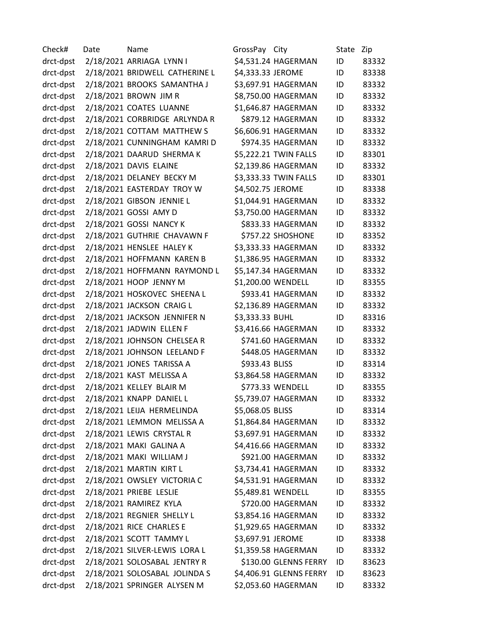Check# Date Name GrossPay City State Zip drct-dpst 2/18/2021 ARRIAGA LYNN I \$4,531.24 HAGERMAN ID 83332 drct-dpst 2/18/2021 BRIDWELL CATHERINE L \$4,333.33 JEROME ID 83338 drct-dpst 2/18/2021 BROOKS SAMANTHA J \$3,697.91 HAGERMAN ID 83332 drct-dpst 2/18/2021 BROWN JIM R \$8,750.00 HAGERMAN ID 83332 drct-dpst 2/18/2021 COATES LUANNE \$1,646.87 HAGERMAN ID 83332 drct-dpst 2/18/2021 CORBRIDGE ARLYNDA R \$879.12 HAGERMAN ID 83332 drct-dpst 2/18/2021 COTTAM MATTHEW S \$6,606.91 HAGERMAN ID 83332 drct-dpst 2/18/2021 CUNNINGHAM KAMRI D \$974.35 HAGERMAN ID 83332 drct-dpst 2/18/2021 DAARUD SHERMA K \$5,222.21 TWIN FALLS ID 83301 drct-dpst 2/18/2021 DAVIS ELAINE \$2,139.86 HAGERMAN ID 83332 drct-dpst 2/18/2021 DELANEY BECKY M \$3,333.33 TWIN FALLS ID 83301 drct-dpst 2/18/2021 EASTERDAY TROY W \$4,502.75 JEROME ID 83338 drct-dpst 2/18/2021 GIBSON JENNIE L \$1,044.91 HAGERMAN ID 83332 drct-dpst 2/18/2021 GOSSI AMY D \$3,750.00 HAGERMAN ID 83332 drct-dpst 2/18/2021 GOSSI NANCY K \$833.33 HAGERMAN ID 83332 drct-dpst 2/18/2021 GUTHRIE CHAVAWN F \$757.22 SHOSHONE ID 83352 drct-dpst 2/18/2021 HENSLEE HALEY K \$3,333.33 HAGERMAN ID 83332 drct-dpst 2/18/2021 HOFFMANN KAREN B \$1,386.95 HAGERMAN ID 83332 drct-dpst 2/18/2021 HOFFMANN RAYMOND L \$5,147.34 HAGERMAN ID 83332 drct-dpst 2/18/2021 HOOP JENNY M \$1,200.00 WENDELL ID 83355 drct-dpst 2/18/2021 HOSKOVEC SHEENA L \$933.41 HAGERMAN ID 83332 drct-dpst 2/18/2021 JACKSON CRAIG L \$2,136.89 HAGERMAN ID 83332 drct-dpst 2/18/2021 JACKSON JENNIFER N \$3,333.33 BUHL ID 83316 drct-dpst 2/18/2021 JADWIN ELLEN F \$3,416.66 HAGERMAN ID 83332 drct-dpst 2/18/2021 JOHNSON CHELSEA R \$741.60 HAGERMAN ID 83332 drct-dpst 2/18/2021 JOHNSON LEELAND F \$448.05 HAGERMAN ID 83332 drct-dpst 2/18/2021 JONES TARISSA A \$933.43 BLISS ID 83314 drct-dpst 2/18/2021 KAST MELISSA A \$3,864.58 HAGERMAN ID 83332 drct-dpst 2/18/2021 KELLEY BLAIR M \$773.33 WENDELL ID 83355 drct-dpst 2/18/2021 KNAPP DANIEL L \$5,739.07 HAGERMAN ID 83332 drct-dpst 2/18/2021 LEIJA HERMELINDA \$5,068.05 BLISS ID 83314 drct-dpst 2/18/2021 LEMMON MELISSA A \$1,864.84 HAGERMAN ID 83332 drct-dpst 2/18/2021 LEWIS CRYSTAL R \$3,697.91 HAGERMAN ID 83332 drct-dpst 2/18/2021 MAKI GALINA A \$4,416.66 HAGERMAN ID 83332 drct-dpst 2/18/2021 MAKI WILLIAM J \$921.00 HAGERMAN ID 83332 drct-dpst 2/18/2021 MARTIN KIRT L \$3,734.41 HAGERMAN ID 83332 drct-dpst 2/18/2021 OWSLEY VICTORIA C \$4,531.91 HAGERMAN ID 83332 drct-dpst 2/18/2021 PRIEBE LESLIE \$5,489.81 WENDELL ID 83355 drct-dpst 2/18/2021 RAMIREZ KYLA \$720.00 HAGERMAN ID 83332 drct-dpst 2/18/2021 REGNIER SHELLY L \$3,854.16 HAGERMAN ID 83332 drct-dpst 2/18/2021 RICE CHARLES E \$1,929.65 HAGERMAN ID 83332 drct-dpst 2/18/2021 SCOTT TAMMY L \$3,697.91 JEROME ID 83338 drct-dpst 2/18/2021 SILVER-LEWIS LORA L \$1,359.58 HAGERMAN ID 83332 drct-dpst 2/18/2021 SOLOSABAL JENTRY R \$130.00 GLENNS FERRY ID 83623 drct-dpst 2/18/2021 SOLOSABAL JOLINDA S \$4,406.91 GLENNS FERRY ID 83623 drct-dpst 2/18/2021 SPRINGER ALYSEN M \$2,053.60 HAGERMAN ID 83332